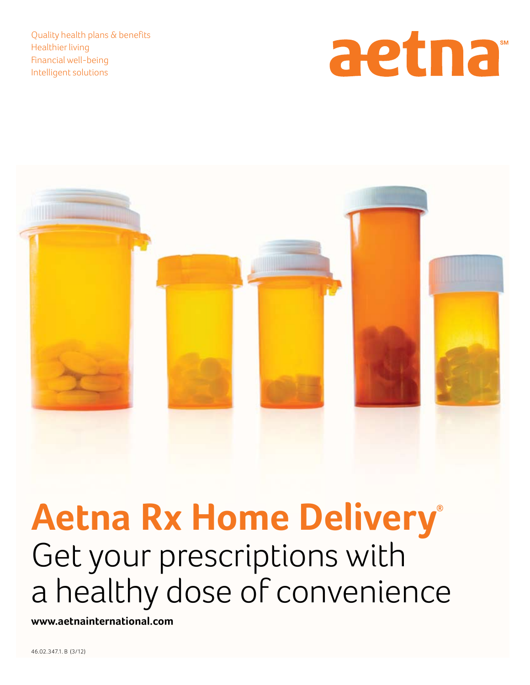Quality health plans & benefits Healthier living Financial well-being Intelligent solutions





# **Aetna Rx Home Delivery®** Get your prescriptions with a healthy dose of convenience

**www.aetnainternational.com**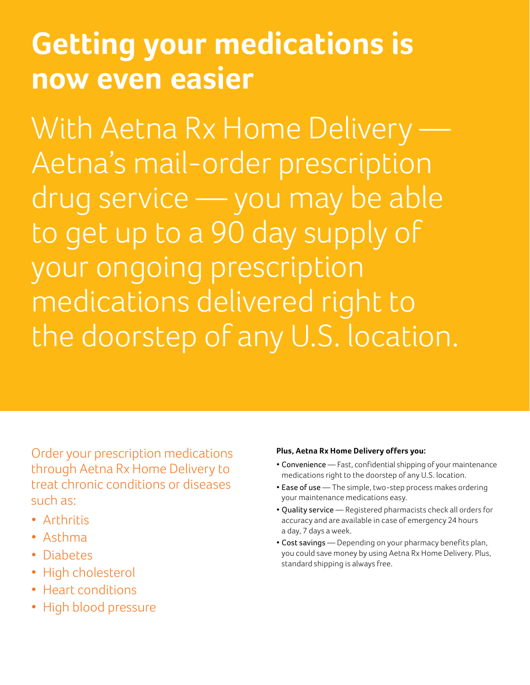## **Getting your medications is now even easier**

With Aetna Rx Home Delivery Aetna's mail-order prescription drug service — you may be able to get up to a 90 day supply of your ongoing prescription medications delivered right to the doorstep of any U.S. location.

Order your prescription medications through Aetna Rx Home Delivery to treat chronic conditions or diseases such as:

- Arthritis
- Asthma
- Diabetes
- High cholesterol
- Heart conditions
- • High blood pressure

#### **Plus, Aetna Rx Home Delivery offers you:**

- Convenience Fast, confidential shipping of your maintenance medications right to the doorstep of any U.S. location.
- Ease of use The simple, two-step process makes ordering your maintenance medications easy.
- • Quality service Registered pharmacists check all orders for accuracy and are available in case of emergency 24 hours a day, 7 days a week.
- Cost savings Depending on your pharmacy benefits plan, you could save money by using Aetna Rx Home Delivery. Plus, standard shipping is always free.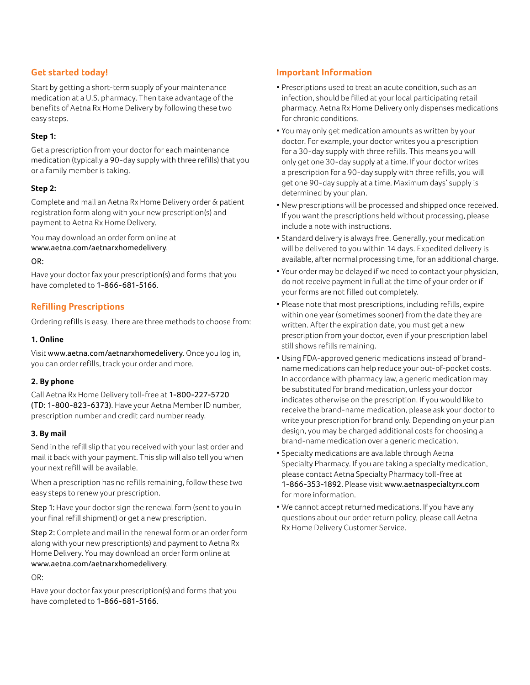#### **Get started today!**

Start by getting a short-term supply of your maintenance medication at a U.S. pharmacy. Then take advantage of the benefits of Aetna Rx Home Delivery by following these two easy steps.

#### **Step 1:**

Get a prescription from your doctor for each maintenance medication (typically a 90-day supply with three refills) that you or a family member is taking.

#### **Step 2:**

Complete and mail an Aetna Rx Home Delivery order & patient registration form along with your new prescription(s) and payment to Aetna Rx Home Delivery.

You may download an order form online at www.aetna.com/aetnarxhomedelivery.

#### OR:

Have your doctor fax your prescription(s) and forms that you have completed to 1-866-681-5166.

#### **Refilling Prescriptions**

Ordering refills is easy. There are three methods to choose from:

#### **1. Online**

Visit www.aetna.com/aetnarxhomedelivery. Once you log in, you can order refills, track your order and more.

#### **2. By phone**

Call Aetna Rx Home Delivery toll-free at 1-800-227-5720 (TD: 1-800-823-6373). Have your Aetna Member ID number, prescription number and credit card number ready.

#### **3. By mail**

Send in the refill slip that you received with your last order and mail it back with your payment. This slip will also tell you when your next refill will be available.

When a prescription has no refills remaining, follow these two easy steps to renew your prescription.

Step 1: Have your doctor sign the renewal form (sent to you in your final refill shipment) or get a new prescription.

Step 2: Complete and mail in the renewal form or an order form along with your new prescription(s) and payment to Aetna Rx Home Delivery. You may download an order form online at www.aetna.com/aetnarxhomedelivery.

OR:

Have your doctor fax your prescription(s) and forms that you have completed to 1-866-681-5166.

#### **Important Information**

- Prescriptions used to treat an acute condition, such as an infection, should be filled at your local participating retail pharmacy. Aetna Rx Home Delivery only dispenses medications for chronic conditions.
- You may only get medication amounts as written by your doctor. For example, your doctor writes you a prescription for a 30-day supply with three refills. This means you will only get one 30-day supply at a time. If your doctor writes a prescription for a 90-day supply with three refills, you will get one 90-day supply at a time. Maximum days' supply is determined by your plan.
- • New prescriptions will be processed and shipped once received. If you want the prescriptions held without processing, please include a note with instructions.
- Standard delivery is always free. Generally, your medication will be delivered to you within 14 days. Expedited delivery is available, after normal processing time, for an additional charge.
- • Your order may be delayed if we need to contact your physician, do not receive payment in full at the time of your order or if your forms are not filled out completely.
- Please note that most prescriptions, including refills, expire within one year (sometimes sooner) from the date they are written. After the expiration date, you must get a new prescription from your doctor, even if your prescription label still shows refills remaining.
- Using FDA-approved generic medications instead of brandname medications can help reduce your out-of-pocket costs. In accordance with pharmacy law, a generic medication may be substituted for brand medication, unless your doctor indicates otherwise on the prescription. If you would like to receive the brand-name medication, please ask your doctor to write your prescription for brand only. Depending on your plan design, you may be charged additional costs for choosing a brand-name medication over a generic medication.
- Specialty medications are available through Aetna Specialty Pharmacy. If you are taking a specialty medication, please contact Aetna Specialty Pharmacy toll-free at 1-866-353-1892. Please visit www.aetnaspecialtyrx.com for more information.
- • We cannot accept returned medications. If you have any questions about our order return policy, please call Aetna Rx Home Delivery Customer Service.